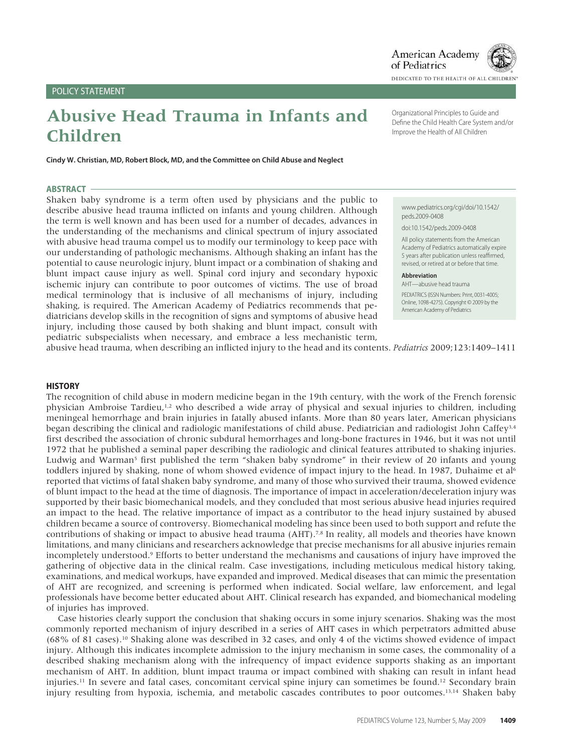# POLICY STATEMENT

Organizational Principles to Guide and Define the Child Health Care System and/or Improve the Health of All Children

# **Abusive Head Trauma in Infants and Children**

**Cindy W. Christian, MD, Robert Block, MD, and the Committee on Child Abuse and Neglect**

### **ABSTRACT**

Shaken baby syndrome is a term often used by physicians and the public to describe abusive head trauma inflicted on infants and young children. Although the term is well known and has been used for a number of decades, advances in the understanding of the mechanisms and clinical spectrum of injury associated with abusive head trauma compel us to modify our terminology to keep pace with our understanding of pathologic mechanisms. Although shaking an infant has the potential to cause neurologic injury, blunt impact or a combination of shaking and blunt impact cause injury as well. Spinal cord injury and secondary hypoxic ischemic injury can contribute to poor outcomes of victims. The use of broad medical terminology that is inclusive of all mechanisms of injury, including shaking, is required. The American Academy of Pediatrics recommends that pediatricians develop skills in the recognition of signs and symptoms of abusive head injury, including those caused by both shaking and blunt impact, consult with pediatric subspecialists when necessary, and embrace a less mechanistic term,

www.pediatrics.org/cgi/doi/10.1542/ peds.2009-0408

doi:10.1542/peds.2009-0408

All policy statements from the American Academy of Pediatrics automatically expire 5 years after publication unless reaffirmed, revised, or retired at or before that time.

**Abbreviation** AHT—abusive head trauma

PEDIATRICS (ISSN Numbers: Print, 0031-4005; Online, 1098-4275). Copyright © 2009 by the American Academy of Pediatrics

abusive head trauma, when describing an inflicted injury to the head and its contents. *Pediatrics* 2009;123:1409–1411

#### **HISTORY**

The recognition of child abuse in modern medicine began in the 19th century, with the work of the French forensic physician Ambroise Tardieu,<sup>1,2</sup> who described a wide array of physical and sexual injuries to children, including meningeal hemorrhage and brain injuries in fatally abused infants. More than 80 years later, American physicians began describing the clinical and radiologic manifestations of child abuse. Pediatrician and radiologist John Caffey3,4 first described the association of chronic subdural hemorrhages and long-bone fractures in 1946, but it was not until 1972 that he published a seminal paper describing the radiologic and clinical features attributed to shaking injuries. Ludwig and Warman<sup>5</sup> first published the term "shaken baby syndrome" in their review of 20 infants and young toddlers injured by shaking, none of whom showed evidence of impact injury to the head. In 1987, Duhaime et al<sup>6</sup> reported that victims of fatal shaken baby syndrome, and many of those who survived their trauma, showed evidence of blunt impact to the head at the time of diagnosis. The importance of impact in acceleration/deceleration injury was supported by their basic biomechanical models, and they concluded that most serious abusive head injuries required an impact to the head. The relative importance of impact as a contributor to the head injury sustained by abused children became a source of controversy. Biomechanical modeling has since been used to both support and refute the contributions of shaking or impact to abusive head trauma (AHT).<sup>7,8</sup> In reality, all models and theories have known limitations, and many clinicians and researchers acknowledge that precise mechanisms for all abusive injuries remain incompletely understood.9 Efforts to better understand the mechanisms and causations of injury have improved the gathering of objective data in the clinical realm. Case investigations, including meticulous medical history taking, examinations, and medical workups, have expanded and improved. Medical diseases that can mimic the presentation of AHT are recognized, and screening is performed when indicated. Social welfare, law enforcement, and legal professionals have become better educated about AHT. Clinical research has expanded, and biomechanical modeling of injuries has improved.

Case histories clearly support the conclusion that shaking occurs in some injury scenarios. Shaking was the most commonly reported mechanism of injury described in a series of AHT cases in which perpetrators admitted abuse (68% of 81 cases).10 Shaking alone was described in 32 cases, and only 4 of the victims showed evidence of impact injury. Although this indicates incomplete admission to the injury mechanism in some cases, the commonality of a described shaking mechanism along with the infrequency of impact evidence supports shaking as an important mechanism of AHT. In addition, blunt impact trauma or impact combined with shaking can result in infant head injuries.<sup>11</sup> In severe and fatal cases, concomitant cervical spine injury can sometimes be found.<sup>12</sup> Secondary brain injury resulting from hypoxia, ischemia, and metabolic cascades contributes to poor outcomes.13,14 Shaken baby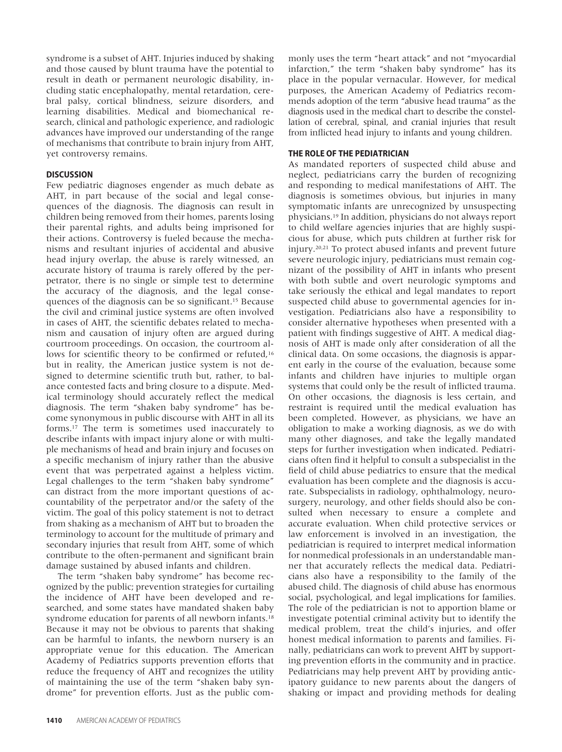syndrome is a subset of AHT. Injuries induced by shaking and those caused by blunt trauma have the potential to result in death or permanent neurologic disability, including static encephalopathy, mental retardation, cerebral palsy, cortical blindness, seizure disorders, and learning disabilities. Medical and biomechanical research, clinical and pathologic experience, and radiologic advances have improved our understanding of the range of mechanisms that contribute to brain injury from AHT, yet controversy remains.

# **DISCUSSION**

Few pediatric diagnoses engender as much debate as AHT, in part because of the social and legal consequences of the diagnosis. The diagnosis can result in children being removed from their homes, parents losing their parental rights, and adults being imprisoned for their actions. Controversy is fueled because the mechanisms and resultant injuries of accidental and abusive head injury overlap, the abuse is rarely witnessed, an accurate history of trauma is rarely offered by the perpetrator, there is no single or simple test to determine the accuracy of the diagnosis, and the legal consequences of the diagnosis can be so significant.15 Because the civil and criminal justice systems are often involved in cases of AHT, the scientific debates related to mechanism and causation of injury often are argued during courtroom proceedings. On occasion, the courtroom allows for scientific theory to be confirmed or refuted,<sup>16</sup> but in reality, the American justice system is not designed to determine scientific truth but, rather, to balance contested facts and bring closure to a dispute. Medical terminology should accurately reflect the medical diagnosis. The term "shaken baby syndrome" has become synonymous in public discourse with AHT in all its forms.17 The term is sometimes used inaccurately to describe infants with impact injury alone or with multiple mechanisms of head and brain injury and focuses on a specific mechanism of injury rather than the abusive event that was perpetrated against a helpless victim. Legal challenges to the term "shaken baby syndrome" can distract from the more important questions of accountability of the perpetrator and/or the safety of the victim. The goal of this policy statement is not to detract from shaking as a mechanism of AHT but to broaden the terminology to account for the multitude of primary and secondary injuries that result from AHT, some of which contribute to the often-permanent and significant brain damage sustained by abused infants and children.

The term "shaken baby syndrome" has become recognized by the public; prevention strategies for curtailing the incidence of AHT have been developed and researched, and some states have mandated shaken baby syndrome education for parents of all newborn infants.<sup>18</sup> Because it may not be obvious to parents that shaking can be harmful to infants, the newborn nursery is an appropriate venue for this education. The American Academy of Pediatrics supports prevention efforts that reduce the frequency of AHT and recognizes the utility of maintaining the use of the term "shaken baby syndrome" for prevention efforts. Just as the public commonly uses the term "heart attack" and not "myocardial infarction," the term "shaken baby syndrome" has its place in the popular vernacular. However, for medical purposes, the American Academy of Pediatrics recommends adoption of the term "abusive head trauma" as the diagnosis used in the medical chart to describe the constellation of cerebral, spinal, and cranial injuries that result from inflicted head injury to infants and young children.

# **THE ROLE OF THE PEDIATRICIAN**

As mandated reporters of suspected child abuse and neglect, pediatricians carry the burden of recognizing and responding to medical manifestations of AHT. The diagnosis is sometimes obvious, but injuries in many symptomatic infants are unrecognized by unsuspecting physicians.19 In addition, physicians do not always report to child welfare agencies injuries that are highly suspicious for abuse, which puts children at further risk for injury.20,21 To protect abused infants and prevent future severe neurologic injury, pediatricians must remain cognizant of the possibility of AHT in infants who present with both subtle and overt neurologic symptoms and take seriously the ethical and legal mandates to report suspected child abuse to governmental agencies for investigation. Pediatricians also have a responsibility to consider alternative hypotheses when presented with a patient with findings suggestive of AHT. A medical diagnosis of AHT is made only after consideration of all the clinical data. On some occasions, the diagnosis is apparent early in the course of the evaluation, because some infants and children have injuries to multiple organ systems that could only be the result of inflicted trauma. On other occasions, the diagnosis is less certain, and restraint is required until the medical evaluation has been completed. However, as physicians, we have an obligation to make a working diagnosis, as we do with many other diagnoses, and take the legally mandated steps for further investigation when indicated. Pediatricians often find it helpful to consult a subspecialist in the field of child abuse pediatrics to ensure that the medical evaluation has been complete and the diagnosis is accurate. Subspecialists in radiology, ophthalmology, neurosurgery, neurology, and other fields should also be consulted when necessary to ensure a complete and accurate evaluation. When child protective services or law enforcement is involved in an investigation, the pediatrician is required to interpret medical information for nonmedical professionals in an understandable manner that accurately reflects the medical data. Pediatricians also have a responsibility to the family of the abused child. The diagnosis of child abuse has enormous social, psychological, and legal implications for families. The role of the pediatrician is not to apportion blame or investigate potential criminal activity but to identify the medical problem, treat the child's injuries, and offer honest medical information to parents and families. Finally, pediatricians can work to prevent AHT by supporting prevention efforts in the community and in practice. Pediatricians may help prevent AHT by providing anticipatory guidance to new parents about the dangers of shaking or impact and providing methods for dealing